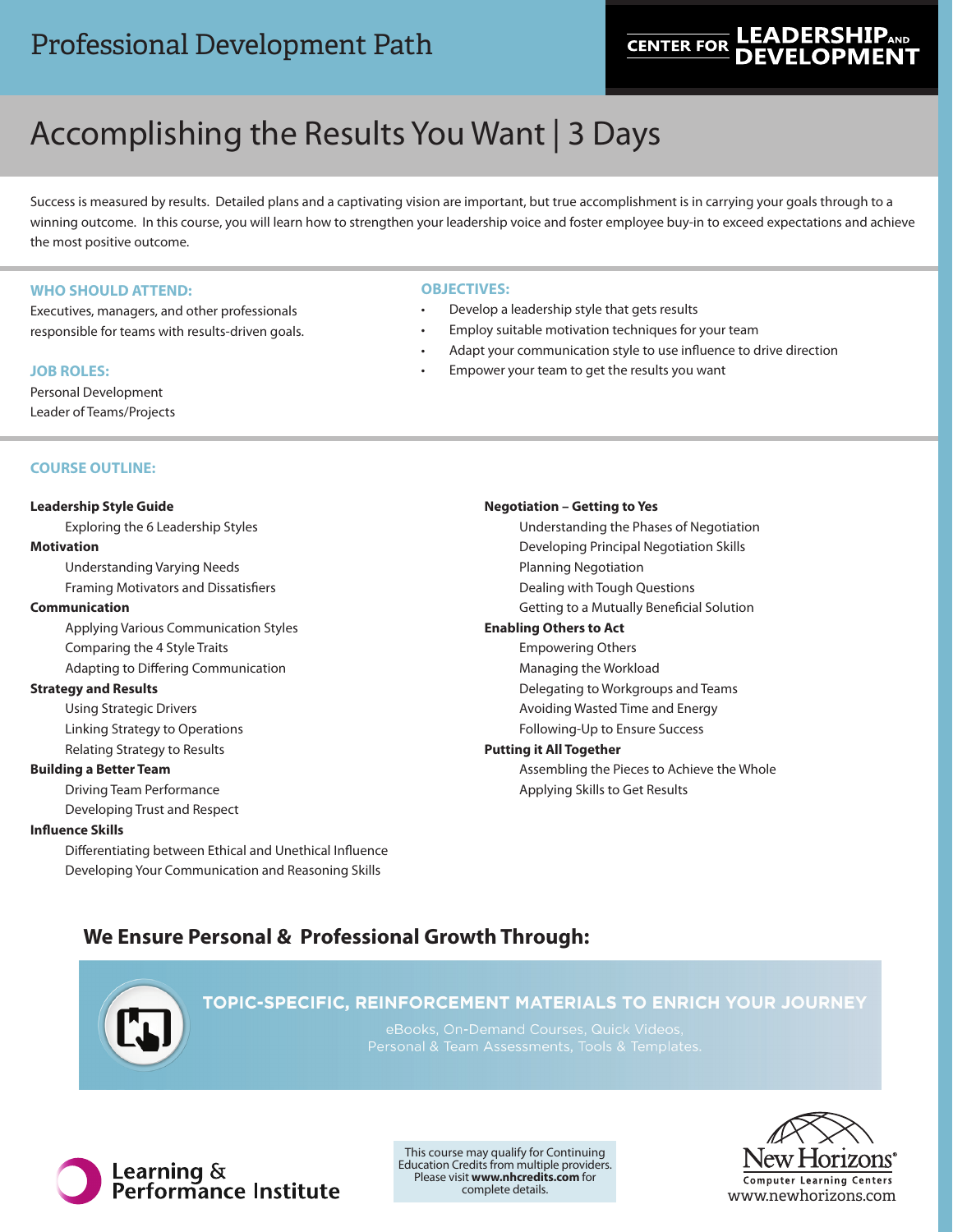# **LEADERSH CENTER FOR**

# Accomplishing the Results You Want | 3 Days

Success is measured by results. Detailed plans and a captivating vision are important, but true accomplishment is in carrying your goals through to a winning outcome. In this course, you will learn how to strengthen your leadership voice and foster employee buy-in to exceed expectations and achieve the most positive outcome.

# **WHO SHOULD ATTEND:**

Executives, managers, and other professionals responsible for teams with results-driven goals.

# **JOB ROLES:**

Personal Development Leader of Teams/Projects

# **OBJECTIVES:**

- Develop a leadership style that gets results
- Employ suitable motivation techniques for your team
- Adapt your communication style to use influence to drive direction
- Empower your team to get the results you want

# **COURSE OUTLINE:**

# **Leadership Style Guide**

Exploring the 6 Leadership Styles **Motivation** Understanding Varying Needs

Framing Motivators and Dissatisfiers

# **Communication**

Applying Various Communication Styles Comparing the 4 Style Traits Adapting to Differing Communication

# **Strategy and Results**

Using Strategic Drivers Linking Strategy to Operations Relating Strategy to Results

# **Building a Better Team**

Driving Team Performance Developing Trust and Respect

# **Influence Skills**

Differentiating between Ethical and Unethical Influence Developing Your Communication and Reasoning Skills

# **Negotiation – Getting to Yes**

Understanding the Phases of Negotiation Developing Principal Negotiation Skills Planning Negotiation Dealing with Tough Questions Getting to a Mutually Beneficial Solution **Enabling Others to Act**

# Empowering Others

Managing the Workload

Delegating to Workgroups and Teams

Avoiding Wasted Time and Energy

Following-Up to Ensure Success

# **Putting it All Together**

Assembling the Pieces to Achieve the Whole Applying Skills to Get Results

# **We Ensure Personal & Professional Growth Through:**



# TOPIC-SPECIFIC, REINFORCEMENT MATERIALS TO ENRICH YOUR JOURNEY

eBooks, On-Demand Courses, Quick Videos,



This course may qualify for Continuing Education Credits from multiple providers. Please visit **www.nhcredits.com** for complete details.